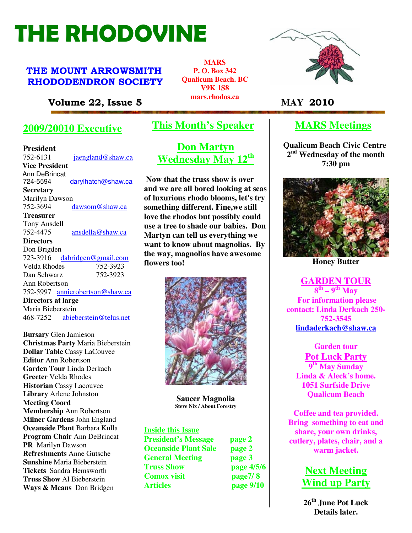# THE RHODOVINE

# THE MOUNT ARROWSMITH RHODODENDRON SOCIETY

**MARS P. O. Box 342 Qualicum Beach. BC V9K 1S8 mars.rhodos.ca** 



# **MARS Meetings**

**Qualicum Beach Civic Centre 2 nd Wednesday of the month 7:30 pm** 



**Honey Butter**

**GARDEN TOUR 8 th – 9th May For information please contact: Linda Derkach 250- 752-3545 lindaderkach@shaw.ca**

**Garden tour Pot Luck Party 9 th May Sunday Linda & Aleck's home. 1051 Surfside Drive Qualicum Beach** 

**Coffee and tea provided. Bring something to eat and share, your own drinks, cutlery, plates, chair, and a warm jacket.** 

# **Next Meeting Wind up Party**

**26th June Pot Luck Details later.** 

Volume 22, Issue 5 *Marshoutska* **MAY 2010** 

# **2009/20010 Executive**

**President 752-6131** jaengland@shaw.ca V**Vice President**  Ann DeBrincat<br>724-5594 darylhatch@shaw.ca **Secretary** Marilyn Dawson 752-3694 dawsom@shaw.ca **Treasurer** Tony Ansdell 752-4475 ansdella@shaw.ca **Directors**  Don Brigden 723-3916 dabridgen@gmail.com<br>Velda Rhodes 752-3923 Velda Rhodes Dan Schwarz 752-3923 Ann Robertson 752-5997 annierobertson@shaw.ca **Directors at large**  Maria Bieberstein 468-7252 abieberstein@telus.net

**Refreshments** Anne Gutsche **General Meeting page 3 Bursary** Glen Jamieson **Christmas Party** Maria Bieberstein **Dollar Table** Cassy LaCouvee **Editor** Ann Robertson **Garden Tour** Linda Derkach **Greeter** Velda Rhodes **Historian** Cassy Lacouvee **Library** Arlene Johnston **Meeting Coord Membership** Ann Robertson **Milner Gardens** John England **Oceanside Plant** Barbara Kulla **Program Chair** Ann DeBrincat **PR** Marilyn Dawson **Refreshments** Anne Gutsche **Sunshine** Maria Bieberstein **Tickets** Sandra Hemsworth **Truss Show** Al Bieberstein **Ways & Means** Don Bridgen

# **This Month's Speaker**

**Don Martyn Wednesday May 12th**

 **Now that the truss show is over and we are all bored looking at seas of luxurious rhodo blooms, let's try something different. Fine,we still love the rhodos but possibly could use a tree to shade our babies. Don Martyn can tell us everything we want to know about magnolias. By the way, magnolias have awesome flowers too!** 



**Saucer Magnolia Steve Nix / About Forestry** 

#### **Inside this Issue**

**President's Message page 2 Oceanside Plant Sale page 2 Truss Show page 4/5/6 Comox visit page7/ 8 Articles page 9/10**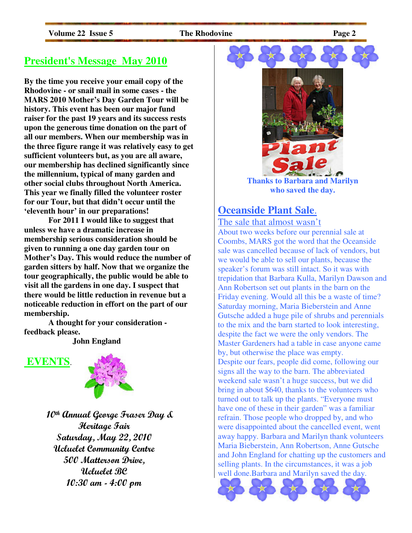# **President's Message May 2010**

**By the time you receive your email copy of the Rhodovine - or snail mail in some cases - the MARS 2010 Mother's Day Garden Tour will be history. This event has been our major fund raiser for the past 19 years and its success rests upon the generous time donation on the part of all our members. When our membership was in the three figure range it was relatively easy to get sufficient volunteers but, as you are all aware, our membership has declined significantly since the millennium, typical of many garden and other social clubs throughout North America. This year we finally filled the volunteer roster for our Tour, but that didn't occur until the 'eleventh hour' in our preparations!** 

 **For 2011 I would like to suggest that unless we have a dramatic increase in membership serious consideration should be given to running a one day garden tour on Mother's Day. This would reduce the number of garden sitters by half. Now that we organize the tour geographically, the public would be able to visit all the gardens in one day. I suspect that there would be little reduction in revenue but a noticeable reduction in effort on the part of our membership.** 

 **A thought for your consideration feedback please.** 

 **John England** 



 10th Annual George Fraser Day & Heritage Fair Saturday, May 22, 2010 Ucluelet Community Centre 500 Matterson Drive, Ucluelet BC 10:30 am - 4:00 pm



**who saved the day.** 

# **Oceanside Plant Sale**.

The sale that almost wasn't

About two weeks before our perennial sale at Coombs, MARS got the word that the Oceanside sale was cancelled because of lack of vendors, but we would be able to sell our plants, because the speaker's forum was still intact. So it was with trepidation that Barbara Kulla, Marilyn Dawson and Ann Robertson set out plants in the barn on the Friday evening. Would all this be a waste of time? Saturday morning, Maria Bieberstein and Anne Gutsche added a huge pile of shrubs and perennials to the mix and the barn started to look interesting, despite the fact we were the only vendors. The Master Gardeners had a table in case anyone came by, but otherwise the place was empty. Despite our fears, people did come, following our signs all the way to the barn. The abbreviated weekend sale wasn't a huge success, but we did bring in about \$640, thanks to the volunteers who turned out to talk up the plants. "Everyone must have one of these in their garden" was a familiar refrain. Those people who dropped by, and who were disappointed about the cancelled event, went away happy. Barbara and Marilyn thank volunteers Maria Bieberstein, Ann Robertson, Anne Gutsche and John England for chatting up the customers and selling plants. In the circumstances, it was a job well done.Barbara and Marilyn saved the day.

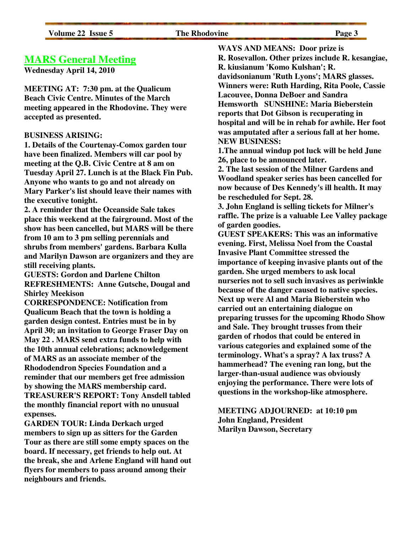#### **The Rhodovine** Page 3

### **MARS General Meeting**

**Wednesday April 14, 2010** 

**MEETING AT: 7:30 pm. at the Qualicum Beach Civic Centre. Minutes of the March meeting appeared in the Rhodovine. They were accepted as presented.** 

#### **BUSINESS ARISING:**

**1. Details of the Courtenay-Comox garden tour have been finalized. Members will car pool by meeting at the Q.B. Civic Centre at 8 am on Tuesday April 27. Lunch is at the Black Fin Pub. Anyone who wants to go and not already on Mary Parker's list should leave their names with the executive tonight.** 

**2. A reminder that the Oceanside Sale takes place this weekend at the fairground. Most of the show has been cancelled, but MARS will be there from 10 am to 3 pm selling perennials and shrubs from members' gardens. Barbara Kulla and Marilyn Dawson are organizers and they are still receiving plants.** 

**GUESTS: Gordon and Darlene Chilton REFRESHMENTS: Anne Gutsche, Dougal and Shirley Meekison** 

**CORRESPONDENCE: Notification from Qualicum Beach that the town is holding a garden design contest. Entries must be in by April 30; an invitation to George Fraser Day on May 22 . MARS send extra funds to help with the 10th annual celebrations; acknowledgement of MARS as an associate member of the Rhododendron Species Foundation and a reminder that our members get free admission by showing the MARS membership card. TREASURER'S REPORT: Tony Ansdell tabled the monthly financial report with no unusual expenses.** 

**GARDEN TOUR: Linda Derkach urged members to sign up as sitters for the Garden Tour as there are still some empty spaces on the board. If necessary, get friends to help out. At the break, she and Arlene England will hand out flyers for members to pass around among their neighbours and friends.** 

**WAYS AND MEANS: Door prize is R. Rosevallon. Other prizes include R. kesangiae, R. kiusianum 'Komo Kulshan'; R. davidsonianum 'Ruth Lyons'; MARS glasses. Winners were: Ruth Harding, Rita Poole, Cassie Lacouvee, Donna DeBoer and Sandra Hemsworth SUNSHINE: Maria Bieberstein reports that Dot Gibson is recuperating in hospital and will be in rehab for awhile. Her foot was amputated after a serious fall at her home. NEW BUSINESS:** 

**1.The annual windup pot luck will be held June 26, place to be announced later.** 

**2. The last session of the Milner Gardens and Woodland speaker series has been cancelled for now because of Des Kennedy's ill health. It may be rescheduled for Sept. 28.** 

**3. John England is selling tickets for Milner's raffle. The prize is a valuable Lee Valley package of garden goodies.** 

**GUEST SPEAKERS: This was an informative evening. First, Melissa Noel from the Coastal Invasive Plant Committee stressed the importance of keeping invasive plants out of the garden. She urged members to ask local nurseries not to sell such invasives as periwinkle because of the danger caused to native species. Next up were Al and Maria Bieberstein who carried out an entertaining dialogue on preparing trusses for the upcoming Rhodo Show and Sale. They brought trusses from their garden of rhodos that could be entered in various categories and explained some of the terminology. What's a spray? A lax truss? A hammerhead? The evening ran long, but the larger-than-usual audience was obviously enjoying the performance. There were lots of questions in the workshop-like atmosphere.** 

#### **MEETING ADJOURNED: at 10:10 pm John England, President Marilyn Dawson, Secretary**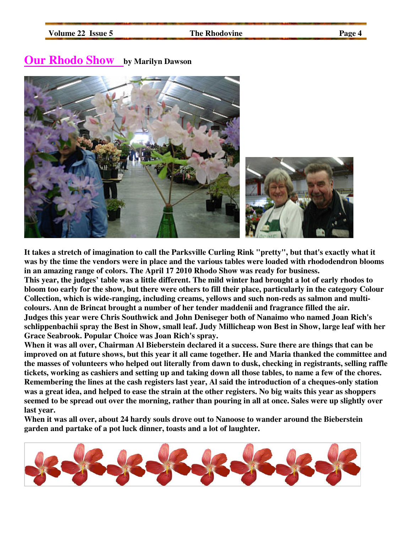# **Our Rhodo Show by Marilyn Dawson**



**It takes a stretch of imagination to call the Parksville Curling Rink "pretty", but that's exactly what it was by the time the vendors were in place and the various tables were loaded with rhododendron blooms in an amazing range of colors. The April 17 2010 Rhodo Show was ready for business. This year, the judges' table was a little different. The mild winter had brought a lot of early rhodos to bloom too early for the show, but there were others to fill their place, particularly in the category Colour Collection, which is wide-ranging, including creams, yellows and such non-reds as salmon and multicolours. Ann de Brincat brought a number of her tender maddenii and fragrance filled the air. Judges this year were Chris Southwick and John Deniseger both of Nanaimo who named Joan Rich's schlippenbachii spray the Best in Show, small leaf. Judy Millicheap won Best in Show, large leaf with her Grace Seabrook. Popular Choice was Joan Rich's spray.** 

**When it was all over, Chairman Al Bieberstein declared it a success. Sure there are things that can be improved on at future shows, but this year it all came together. He and Maria thanked the committee and the masses of volunteers who helped out literally from dawn to dusk, checking in registrants, selling raffle tickets, working as cashiers and setting up and taking down all those tables, to name a few of the chores. Remembering the lines at the cash registers last year, Al said the introduction of a cheques-only station was a great idea, and helped to ease the strain at the other registers. No big waits this year as shoppers seemed to be spread out over the morning, rather than pouring in all at once. Sales were up slightly over last year.** 

**When it was all over, about 24 hardy souls drove out to Nanoose to wander around the Bieberstein garden and partake of a pot luck dinner, toasts and a lot of laughter.** 

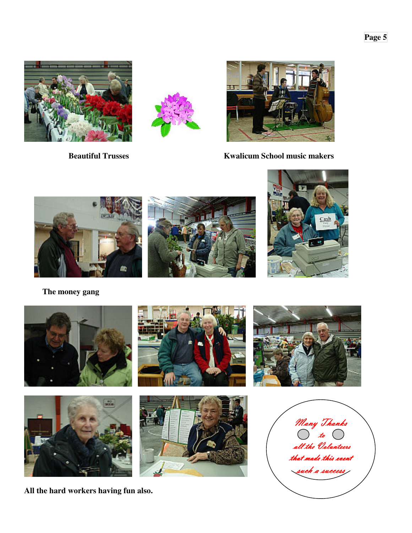





**Beautiful Trusses** Kwalicum School music makers



 **The money gang** 



**All the hard workers having fun also.**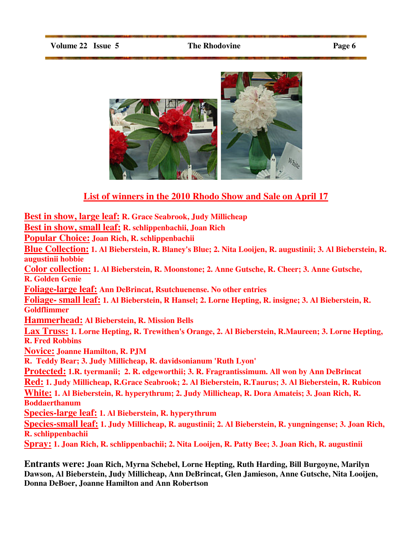

# **List of winners in the 2010 Rhodo Show and Sale on April 17**

**Best in show, large leaf: R. Grace Seabrook, Judy Millicheap Best in show, small leaf: R. schlippenbachii, Joan Rich Popular Choice: Joan Rich, R. schlippenbachii Blue Collection: 1. Al Bieberstein, R. Blaney's Blue; 2. Nita Looijen, R. augustinii; 3. Al Bieberstein, R. augustinii hobbie Color collection: 1. Al Bieberstein, R. Moonstone; 2. Anne Gutsche, R. Cheer; 3. Anne Gutsche, R. Golden Genie Foliage-large leaf: Ann DeBrincat, Rsutchuenense. No other entries Foliage- small leaf: 1. Al Bieberstein, R Hansel; 2. Lorne Hepting, R. insigne; 3. Al Bieberstein, R. Goldflimmer Hammerhead: Al Bieberstein, R. Mission Bells Lax Truss: 1. Lorne Hepting, R. Trewithen's Orange, 2. Al Bieberstein, R.Maureen; 3. Lorne Hepting, R. Fred Robbins Novice: Joanne Hamilton, R. PJM R. Teddy Bear; 3. Judy Millicheap, R. davidsonianum 'Ruth Lyon' Protected: 1.R. tyermanii; 2. R. edgeworthii; 3. R. Fragrantissimum. All won by Ann DeBrincat Red: 1. Judy Millicheap, R.Grace Seabrook; 2. Al Bieberstein, R.Taurus; 3. Al Bieberstein, R. Rubicon White: 1. Al Bieberstein, R. hyperythrum; 2. Judy Millicheap, R. Dora Amateis; 3. Joan Rich, R. Boddaerthanum Species-large leaf: 1. Al Bieberstein, R. hyperythrum Species-small leaf: 1. Judy Millicheap, R. augustinii; 2. Al Bieberstein, R. yungningense; 3. Joan Rich, R. schlippenbachii Spray: 1. Joan Rich, R. schlippenbachii; 2. Nita Looijen, R. Patty Bee; 3. Joan Rich, R. augustinii**

**Entrants were: Joan Rich, Myrna Schebel, Lorne Hepting, Ruth Harding, Bill Burgoyne, Marilyn Dawson, Al Bieberstein, Judy Millicheap, Ann DeBrincat, Glen Jamieson, Anne Gutsche, Nita Looijen, Donna DeBoer, Joanne Hamilton and Ann Robertson**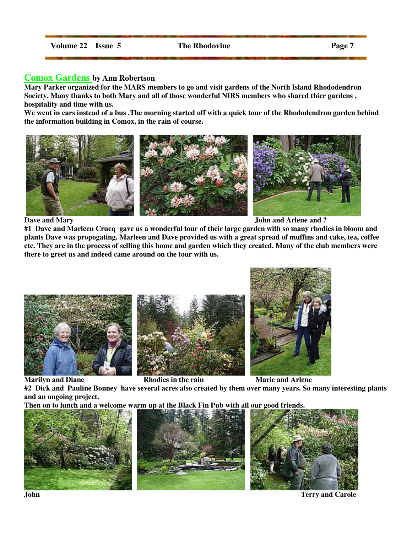#### **Comox Gardens by Ann Robertson**

**Mary Parker organized for the MARS members to go and visit gardens of the North Island Rhododendron Society. Many thanks to both Mary and all of those wonderful NIRS members who shared thier gardens , hospitality and time with us.** 

**We went in cars instead of a bus .The morning started off with a quick tour of the Rhododendron garden behind the information building in Comox, in the rain of course.**



**Dave and Mary 3.1 September 2.1 September 2.1 September 2.1 September 2.1 September 2.1 September 2.1 September 2.1 September 2.1 September 2.1 September 2.1 September 2.1 September 2.1 September 2.1 September 2.1 Septemb** 

**#1 Dave and Marleen Crucq gave us a wonderful tour of their large garden with so many rhodies in bloom and plants Dave was propogating. Marleen and Dave provided us with a great spread of muffins and cake, tea, coffee etc. They are in the process of selling this home and garden which they created. Many of the club members were there to greet us and indeed came around on the tour with us.** 







**Marilyn and Diane Rhodies in the rain Marie and Arlene** 

**#2 Dick and Pauline Bonney have several acres also created by them over many years. So many interesting plants and an ongoing project.** 

**Then on to lunch and a welcome warm up at the Black Fin Pub with all our good friends.** 







**John Terry and Carole**   $\qquad \qquad$  **Terry and Carole**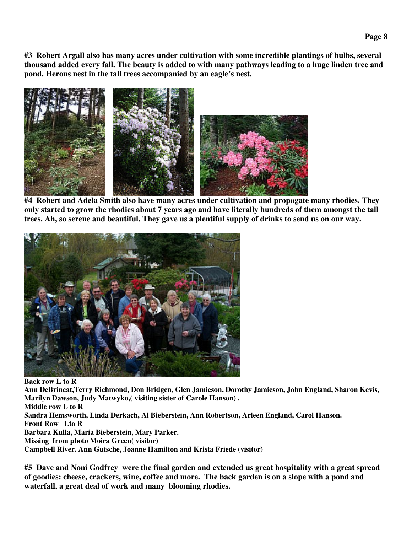**#3 Robert Argall also has many acres under cultivation with some incredible plantings of bulbs, several thousand added every fall. The beauty is added to with many pathways leading to a huge linden tree and pond. Herons nest in the tall trees accompanied by an eagle's nest.** 



**#4 Robert and Adela Smith also have many acres under cultivation and propogate many rhodies. They only started to grow the rhodies about 7 years ago and have literally hundreds of them amongst the tall trees. Ah, so serene and beautiful. They gave us a plentiful supply of drinks to send us on our way.** 



**Back row L to R Ann DeBrincat,Terry Richmond, Don Bridgen, Glen Jamieson, Dorothy Jamieson, John England, Sharon Kevis, Marilyn Dawson, Judy Matwyko,( visiting sister of Carole Hanson) . Middle row L to R Sandra Hemsworth, Linda Derkach, Al Bieberstein, Ann Robertson, Arleen England, Carol Hanson. Front Row Lto R Barbara Kulla, Maria Bieberstein, Mary Parker. Missing from photo Moira Green( visitor) Campbell River. Ann Gutsche, Joanne Hamilton and Krista Friede (visitor)** 

**#5 Dave and Noni Godfrey were the final garden and extended us great hospitality with a great spread of goodies: cheese, crackers, wine, coffee and more. The back garden is on a slope with a pond and waterfall, a great deal of work and many blooming rhodies.**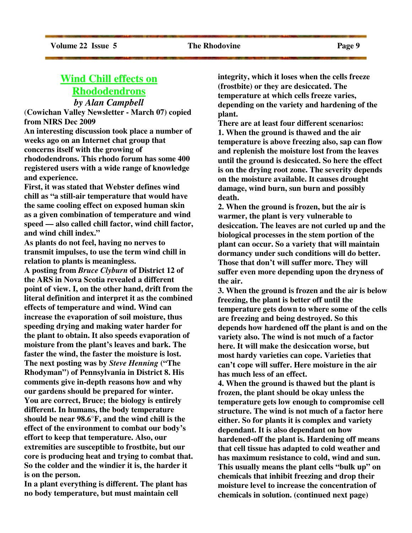# **Wind Chill effects on Rhododendrons** *by Alan Campbell*

(**Cowichan Valley Newsletter - March 07) copied from NIRS Dec 2009** 

**An interesting discussion took place a number of weeks ago on an Internet chat group that concerns itself with the growing of rhododendrons. This rhodo forum has some 400 registered users with a wide range of knowledge and experience.** 

**First, it was stated that Webster defines wind chill as "a still-air temperature that would have the same cooling effect on exposed human skin as a given combination of temperature and wind speed — also called chill factor, wind chill factor, and wind chill index."** 

**As plants do not feel, having no nerves to transmit impulses, to use the term wind chill in relation to plants is meaningless.** 

**A posting from** *Bruce Clyburn* **of District 12 of the ARS in Nova Scotia revealed a different point of view. I, on the other hand, drift from the literal definition and interpret it as the combined effects of temperature and wind. Wind can increase the evaporation of soil moisture, thus speeding drying and making water harder for the plant to obtain. It also speeds evaporation of moisture from the plant's leaves and bark. The faster the wind, the faster the moisture is lost. The next posting was by** *Steve Henning* **("The Rhodyman") of Pennsylvania in District 8. His comments give in-depth reasons how and why our gardens should be prepared for winter. You are correct, Bruce; the biology is entirely different. In humans, the body temperature should be near 98.6°F, and the wind chill is the effect of the environment to combat our body's effort to keep that temperature. Also, our extremities are susceptible to frostbite, but our core is producing heat and trying to combat that. So the colder and the windier it is, the harder it is on the person.** 

**In a plant everything is different. The plant has no body temperature, but must maintain cell** 

**integrity, which it loses when the cells freeze (frostbite) or they are desiccated. The temperature at which cells freeze varies, depending on the variety and hardening of the plant.** 

**There are at least four different scenarios: 1. When the ground is thawed and the air temperature is above freezing also, sap can flow and replenish the moisture lost from the leaves until the ground is desiccated. So here the effect is on the drying root zone. The severity depends on the moisture available. It causes drought damage, wind burn, sun burn and possibly death.** 

**2. When the ground is frozen, but the air is warmer, the plant is very vulnerable to desiccation. The leaves are not curled up and the biological processes in the stem portion of the plant can occur. So a variety that will maintain dormancy under such conditions will do better. Those that don't will suffer more. They will suffer even more depending upon the dryness of the air.** 

**3. When the ground is frozen and the air is below freezing, the plant is better off until the temperature gets down to where some of the cells are freezing and being destroyed. So this depends how hardened off the plant is and on the variety also. The wind is not much of a factor here. It will make the desiccation worse, but most hardy varieties can cope. Varieties that can't cope will suffer. Here moisture in the air has much less of an effect.** 

**4. When the ground is thawed but the plant is frozen, the plant should be okay unless the temperature gets low enough to compromise cell structure. The wind is not much of a factor here either. So for plants it is complex and variety dependant. It is also dependant on how hardened-off the plant is. Hardening off means that cell tissue has adapted to cold weather and has maximum resistance to cold, wind and sun. This usually means the plant cells "bulk up" on chemicals that inhibit freezing and drop their moisture level to increase the concentration of chemicals in solution. (continued next page)**